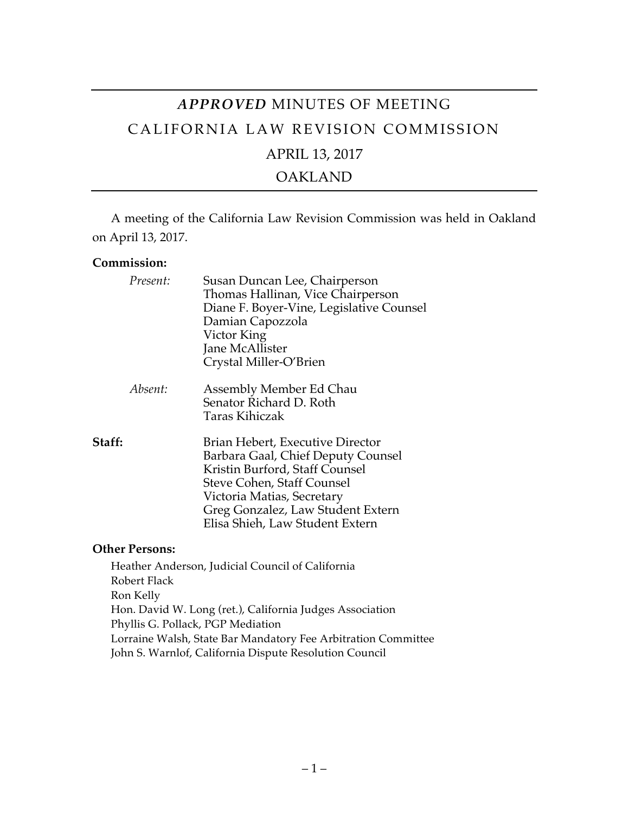# *APPROVED* MINUTES OF MEETING CALIFORNIA LAW REVISION COMMISSION APRIL 13, 2017

# OAKLAND

A meeting of the California Law Revision Commission was held in Oakland on April 13, 2017.

#### **Commission:**

|        | Present: | Susan Duncan Lee, Chairperson<br>Thomas Hallinan, Vice Chairperson<br>Diane F. Boyer-Vine, Legislative Counsel<br>Damian Capozzola<br>Victor King<br>Jane McAllister<br>Crystal Miller-O'Brien                                               |
|--------|----------|----------------------------------------------------------------------------------------------------------------------------------------------------------------------------------------------------------------------------------------------|
|        | Absent:  | Assembly Member Ed Chau<br>Senator Richard D. Roth<br>Taras Kihiczak                                                                                                                                                                         |
| Staff: |          | Brian Hebert, Executive Director<br>Barbara Gaal, Chief Deputy Counsel<br>Kristin Burford, Staff Counsel<br>Steve Cohen, Staff Counsel<br>Victoria Matias, Secretary<br>Greg Gonzalez, Law Student Extern<br>Elisa Shieh, Law Student Extern |
| .      |          |                                                                                                                                                                                                                                              |

### **Other Persons:**

Heather Anderson, Judicial Council of California Robert Flack Ron Kelly Hon. David W. Long (ret.), California Judges Association Phyllis G. Pollack, PGP Mediation Lorraine Walsh, State Bar Mandatory Fee Arbitration Committee John S. Warnlof, California Dispute Resolution Council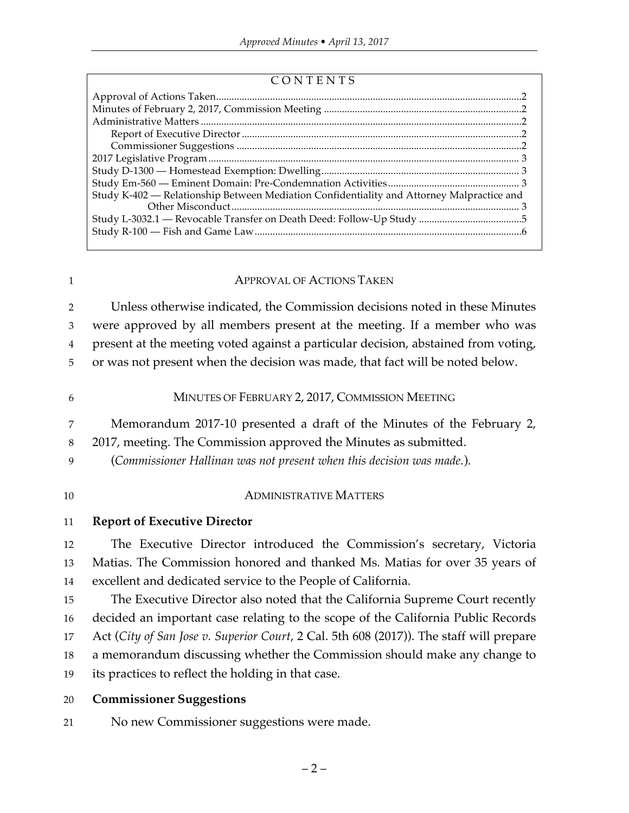#### CONTENTS

| Study K-402 — Relationship Between Mediation Confidentiality and Attorney Malpractice and |  |
|-------------------------------------------------------------------------------------------|--|
|                                                                                           |  |
|                                                                                           |  |
|                                                                                           |  |
|                                                                                           |  |

#### 1 **APPROVAL OF ACTIONS TAKEN**

 Unless otherwise indicated, the Commission decisions noted in these Minutes were approved by all members present at the meeting. If a member who was present at the meeting voted against a particular decision, abstained from voting, or was not present when the decision was made, that fact will be noted below.

- 6 MINUTES OF FEBRUARY 2, 2017, COMMISSION MEETING
- 7 Memorandum 2017-10 presented a draft of the Minutes of the February 2,
- 8 2017, meeting. The Commission approved the Minutes as submitted.
- 9 (*Commissioner Hallinan was not present when this decision was made.*).
- 

#### 10 ADMINISTRATIVE MATTERS

11 **Report of Executive Director**

12 The Executive Director introduced the Commission's secretary, Victoria 13 Matias. The Commission honored and thanked Ms. Matias for over 35 years of 14 excellent and dedicated service to the People of California.

 The Executive Director also noted that the California Supreme Court recently decided an important case relating to the scope of the California Public Records Act (*City of San Jose v. Superior Court*, 2 Cal. 5th 608 (2017)). The staff will prepare a memorandum discussing whether the Commission should make any change to its practices to reflect the holding in that case.

#### 20 **Commissioner Suggestions**

21 No new Commissioner suggestions were made.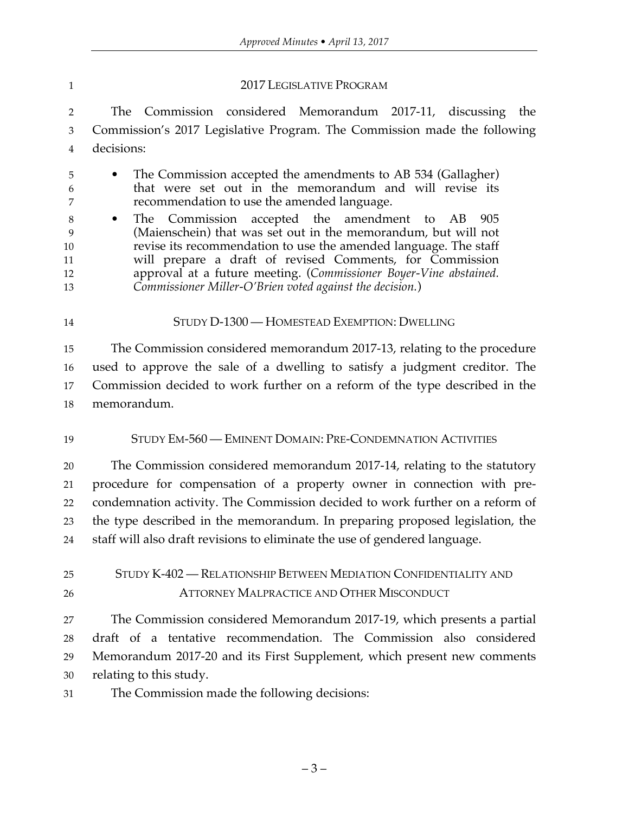#### 1 2017 LEGISLATIVE PROGRAM

 The Commission considered Memorandum 2017-11, discussing the Commission's 2017 Legislative Program. The Commission made the following decisions:

 • The Commission accepted the amendments to AB 534 (Gallagher) that were set out in the memorandum and will revise its recommendation to use the amended language.

 • The Commission accepted the amendment to AB 905 (Maienschein) that was set out in the memorandum, but will not revise its recommendation to use the amended language. The staff will prepare a draft of revised Comments, for Commission approval at a future meeting. (*Commissioner Boyer-Vine abstained. Commissioner Miller-O'Brien voted against the decision.*)

#### STUDY D-1300 — HOMESTEAD EXEMPTION: DWELLING

 The Commission considered memorandum 2017-13, relating to the procedure used to approve the sale of a dwelling to satisfy a judgment creditor. The Commission decided to work further on a reform of the type described in the memorandum.

STUDY EM-560 — EMINENT DOMAIN: PRE-CONDEMNATION ACTIVITIES

 The Commission considered memorandum 2017-14, relating to the statutory procedure for compensation of a property owner in connection with pre- condemnation activity. The Commission decided to work further on a reform of the type described in the memorandum. In preparing proposed legislation, the staff will also draft revisions to eliminate the use of gendered language.

# STUDY K-402 — RELATIONSHIP BETWEEN MEDIATION CONFIDENTIALITY AND ATTORNEY MALPRACTICE AND OTHER MISCONDUCT

 The Commission considered Memorandum 2017-19, which presents a partial draft of a tentative recommendation. The Commission also considered Memorandum 2017-20 and its First Supplement, which present new comments relating to this study.

The Commission made the following decisions: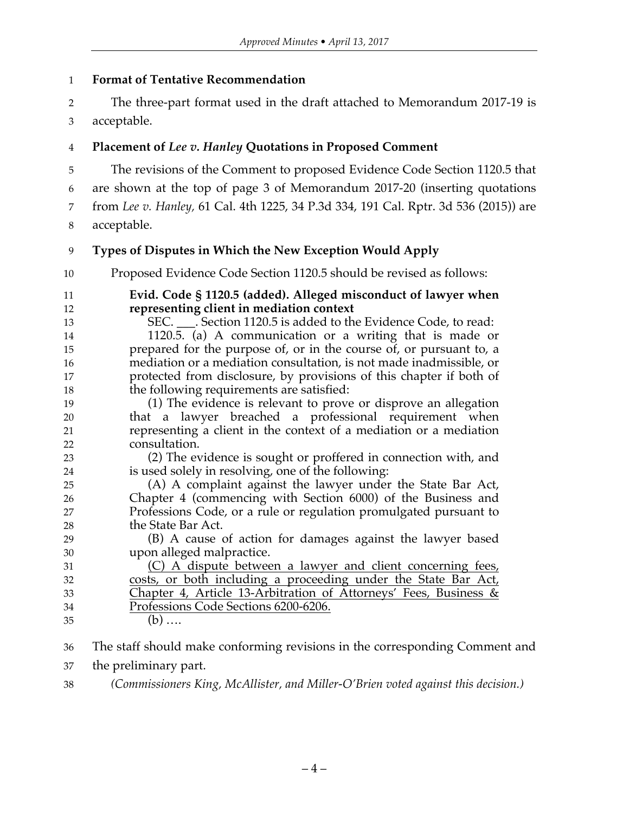## **Format of Tentative Recommendation**

 The three-part format used in the draft attached to Memorandum 2017-19 is acceptable.

# **Placement of** *Lee v. Hanley* **Quotations in Proposed Comment**

 The revisions of the Comment to proposed Evidence Code Section 1120.5 that are shown at the top of page 3 of Memorandum 2017-20 (inserting quotations from *Lee v. Hanley,* 61 Cal. 4th 1225, 34 P.3d 334, 191 Cal. Rptr. 3d 536 (2015)) are acceptable.

- **Types of Disputes in Which the New Exception Would Apply**
- Proposed Evidence Code Section 1120.5 should be revised as follows:
- **Evid. Code § 1120.5 (added). Alleged misconduct of lawyer when representing client in mediation context**

SEC. \_\_\_. Section 1120.5 is added to the Evidence Code, to read:

 1120.5. (a) A communication or a writing that is made or prepared for the purpose of, or in the course of, or pursuant to, a mediation or a mediation consultation, is not made inadmissible, or protected from disclosure, by provisions of this chapter if both of the following requirements are satisfied:

- (1) The evidence is relevant to prove or disprove an allegation that a lawyer breached a professional requirement when representing a client in the context of a mediation or a mediation consultation.
- (2) The evidence is sought or proffered in connection with, and is used solely in resolving, one of the following:
- (A) A complaint against the lawyer under the State Bar Act, Chapter 4 (commencing with Section 6000) of the Business and Professions Code, or a rule or regulation promulgated pursuant to the State Bar Act.

 (B) A cause of action for damages against the lawyer based upon alleged malpractice.

 (C) A dispute between a lawyer and client concerning fees, costs, or both including a proceeding under the State Bar Act, Chapter 4, Article 13-Arbitration of Attorneys' Fees, Business & Professions Code Sections 6200-6206. (b) ….

- The staff should make conforming revisions in the corresponding Comment and
- the preliminary part.
- *(Commissioners King, McAllister, and Miller-O'Brien voted against this decision.)*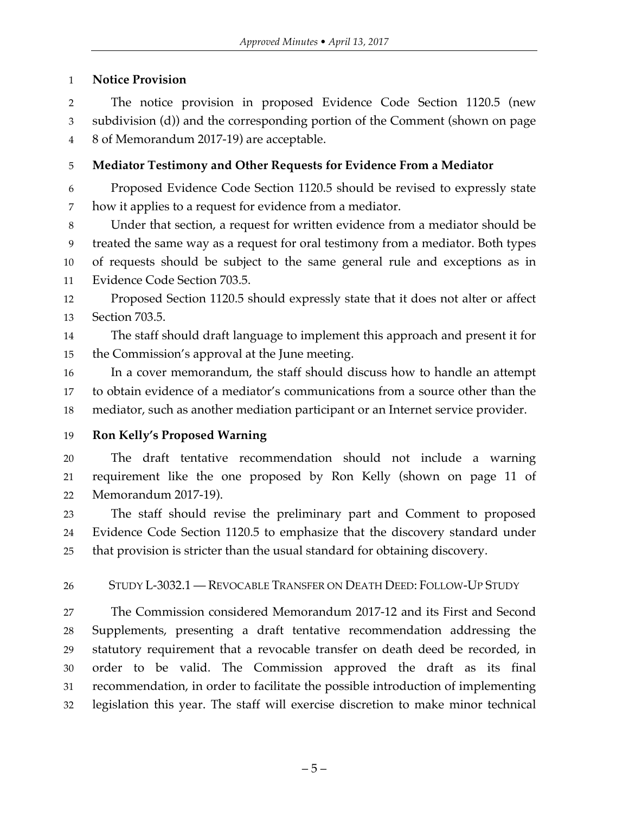# **Notice Provision**

 The notice provision in proposed Evidence Code Section 1120.5 (new subdivision (d)) and the corresponding portion of the Comment (shown on page 8 of Memorandum 2017-19) are acceptable.

# **Mediator Testimony and Other Requests for Evidence From a Mediator**

 Proposed Evidence Code Section 1120.5 should be revised to expressly state how it applies to a request for evidence from a mediator.

 Under that section, a request for written evidence from a mediator should be treated the same way as a request for oral testimony from a mediator. Both types of requests should be subject to the same general rule and exceptions as in Evidence Code Section 703.5.

 Proposed Section 1120.5 should expressly state that it does not alter or affect Section 703.5.

 The staff should draft language to implement this approach and present it for the Commission's approval at the June meeting.

 In a cover memorandum, the staff should discuss how to handle an attempt to obtain evidence of a mediator's communications from a source other than the mediator, such as another mediation participant or an Internet service provider.

**Ron Kelly's Proposed Warning**

 The draft tentative recommendation should not include a warning requirement like the one proposed by Ron Kelly (shown on page 11 of Memorandum 2017-19).

 The staff should revise the preliminary part and Comment to proposed Evidence Code Section 1120.5 to emphasize that the discovery standard under that provision is stricter than the usual standard for obtaining discovery.

STUDY L-3032.1 — REVOCABLE TRANSFER ON DEATH DEED: FOLLOW-UP STUDY

 The Commission considered Memorandum 2017-12 and its First and Second Supplements, presenting a draft tentative recommendation addressing the statutory requirement that a revocable transfer on death deed be recorded, in order to be valid. The Commission approved the draft as its final recommendation, in order to facilitate the possible introduction of implementing legislation this year. The staff will exercise discretion to make minor technical